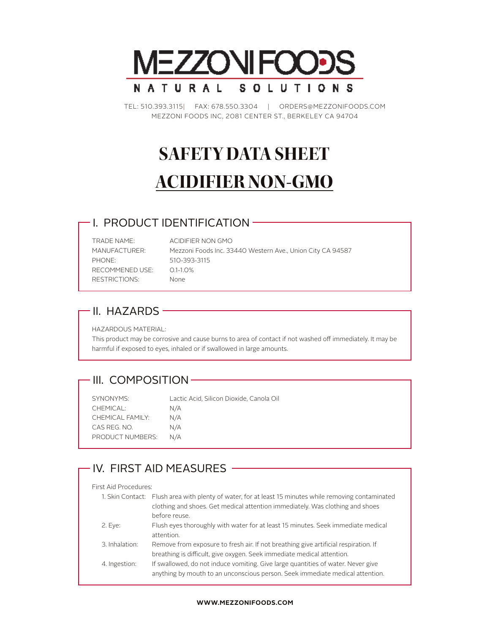

TEL: 510.393.3115| FAX: 678.550.3304 | ORDERS@MEZZONIFOODS.COM MEZZONI FOODS INC, 2081 CENTER ST., BERKELEY CA 94704

# **SAFETY DATA SHEET ACIDIFIER NON-GMO**

#### I. PRODUCT IDENTIFICATION

TRADE NAME: ACIDIFIER NON GMO PHONE: 510-393-3115 RECOMMENED USE: 0.1-1.0% RESTRICTIONS: None

MANUFACTURER: Mezzoni Foods Inc. 33440 Western Ave., Union City CA 94587

### $-$  II. HAZARDS  $-$

HAZARDOUS MATERIAL:

This product may be corrosive and cause burns to area of contact if not washed off immediately. It may be harmful if exposed to eyes, inhaled or if swallowed in large amounts.

#### - III. COMPOSITION-

| SYNONYMS:               | Lactic Acid, Silicon Dioxide, Canola Oil |
|-------------------------|------------------------------------------|
| CHEMICAL:               | N/A                                      |
| CHEMICAL FAMILY:        | N/A                                      |
| CAS REG. NO.            | N/A                                      |
| <b>PRODUCT NUMBERS:</b> | N/A                                      |

### IV. FIRST AID MEASURES -

#### First Aid Procedures:

| 1. Skin Contact: Flush area with plenty of water, for at least 15 minutes while removing contaminated |
|-------------------------------------------------------------------------------------------------------|
|                                                                                                       |
|                                                                                                       |
| Flush eyes thoroughly with water for at least 15 minutes. Seek immediate medical                      |
|                                                                                                       |
|                                                                                                       |
|                                                                                                       |
|                                                                                                       |
|                                                                                                       |
|                                                                                                       |

#### **WWW.MEZZONIFOODS.COM**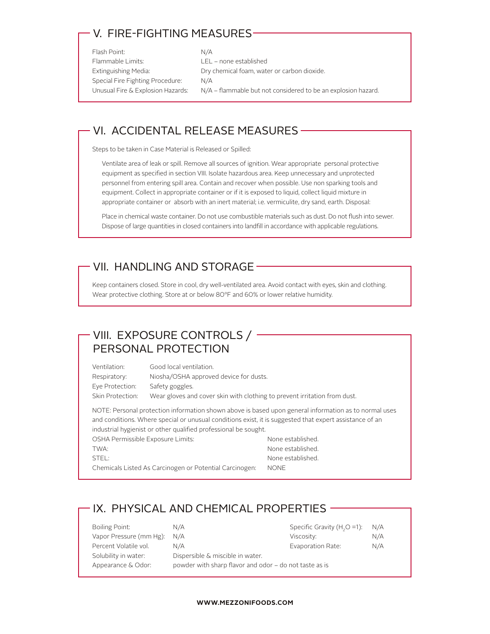## V. FIRE-FIGHTING MEASURES

| Flash Point:                      | N/A                                                           |
|-----------------------------------|---------------------------------------------------------------|
| Flammable Limits:                 | LEL – none established                                        |
| Extinguishing Media:              | Dry chemical foam, water or carbon dioxide.                   |
| Special Fire Fighting Procedure:  | N/A                                                           |
| Unusual Fire & Explosion Hazards: | N/A – flammable but not considered to be an explosion hazard. |
|                                   |                                                               |

#### VI. ACCIDENTAL RELEASE MEASURES

Steps to be taken in Case Material is Released or Spilled:

Ventilate area of leak or spill. Remove all sources of ignition. Wear appropriate personal protective equipment as specified in section VIII. Isolate hazardous area. Keep unnecessary and unprotected personnel from entering spill area. Contain and recover when possible. Use non sparking tools and equipment. Collect in appropriate container or if it is exposed to liquid, collect liquid mixture in appropriate container or absorb with an inert material; i.e. vermiculite, dry sand, earth. Disposal:

Place in chemical waste container. Do not use combustible materials such as dust. Do not flush into sewer. Dispose of large quantities in closed containers into landfill in accordance with applicable regulations.

#### - VII. HANDLING AND STORAGE –

Keep containers closed. Store in cool, dry well-ventilated area. Avoid contact with eyes, skin and clothing. Wear protective clothing. Store at or below 80°F and 60% or lower relative humidity.

### VIII. EXPOSURE CONTROLS / -PERSONAL PROTECTION

Ventilation: Good local ventilation. Respiratory: Niosha/OSHA approved device for dusts. Eye Protection: Safety goggles. Skin Protection: Wear gloves and cover skin with clothing to prevent irritation from dust.

NOTE: Personal protection information shown above is based upon general information as to normal uses and conditions. Where special or unusual conditions exist, it is suggested that expert assistance of an industrial hygienist or other qualified professional be sought.

OSHA Permissible Exposure Limits: None established. TWA: TWA: STEL: STEL: None established.

Chemicals Listed As Carcinogen or Potential Carcinogen: NONE

#### IX. PHYSICAL AND CHEMICAL PROPERTIES

| Boiling Point:          | N/A                                                    | Specific Gravity $(H2O = 1)$ : N/A |     |
|-------------------------|--------------------------------------------------------|------------------------------------|-----|
| Vapor Pressure (mm Hg): | N/A                                                    | Viscosity:                         | N/A |
| Percent Volatile vol.   | N/A                                                    | Evaporation Rate:                  | N/A |
| Solubility in water:    | Dispersible & miscible in water.                       |                                    |     |
| Appearance & Odor:      | powder with sharp flavor and odor – do not taste as is |                                    |     |
|                         |                                                        |                                    |     |

#### **WWW.MEZZONIFOODS.COM**